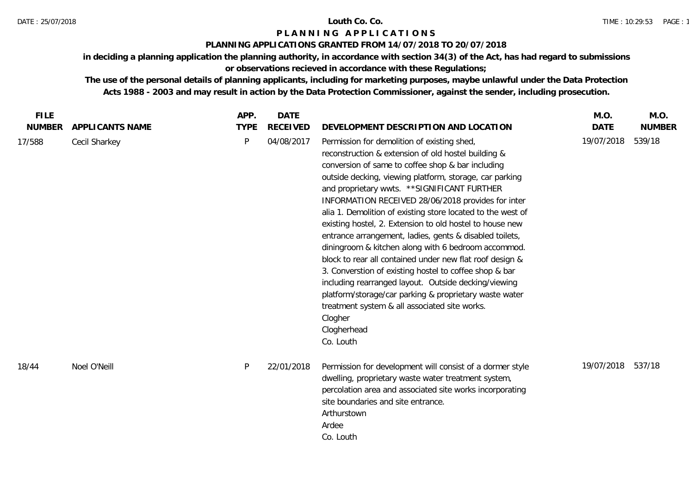## **PLANNING APPLICATIONS GRANTED FROM 14/07/2018 TO 20/07/2018**

**in deciding a planning application the planning authority, in accordance with section 34(3) of the Act, has had regard to submissions** 

**or observations recieved in accordance with these Regulations;**

| <b>FILE</b>   |                 | APP.        | <b>DATE</b>     |                                                                                                                                                                                                                                                                                                                                                                                                                                                                                                                                                                                                                                                                                                                                                                                                                                                                                                       | M.O.        | M.O.          |
|---------------|-----------------|-------------|-----------------|-------------------------------------------------------------------------------------------------------------------------------------------------------------------------------------------------------------------------------------------------------------------------------------------------------------------------------------------------------------------------------------------------------------------------------------------------------------------------------------------------------------------------------------------------------------------------------------------------------------------------------------------------------------------------------------------------------------------------------------------------------------------------------------------------------------------------------------------------------------------------------------------------------|-------------|---------------|
| <b>NUMBER</b> | APPLICANTS NAME | <b>TYPE</b> | <b>RECEIVED</b> | DEVELOPMENT DESCRIPTION AND LOCATION                                                                                                                                                                                                                                                                                                                                                                                                                                                                                                                                                                                                                                                                                                                                                                                                                                                                  | <b>DATE</b> | <b>NUMBER</b> |
| 17/588        | Cecil Sharkey   | P           | 04/08/2017      | Permission for demolition of existing shed,<br>reconstruction & extension of old hostel building &<br>conversion of same to coffee shop & bar including<br>outside decking, viewing platform, storage, car parking<br>and proprietary wwts. ** SIGNIFICANT FURTHER<br>INFORMATION RECEIVED 28/06/2018 provides for inter<br>alia 1. Demolition of existing store located to the west of<br>existing hostel, 2. Extension to old hostel to house new<br>entrance arrangement, ladies, gents & disabled toilets,<br>diningroom & kitchen along with 6 bedroom accommod.<br>block to rear all contained under new flat roof design &<br>3. Converstion of existing hostel to coffee shop & bar<br>including rearranged layout. Outside decking/viewing<br>platform/storage/car parking & proprietary waste water<br>treatment system & all associated site works.<br>Clogher<br>Clogherhead<br>Co. Louth | 19/07/2018  | 539/18        |
| 18/44         | Noel O'Neill    | P           | 22/01/2018      | Permission for development will consist of a dormer style<br>dwelling, proprietary waste water treatment system,<br>percolation area and associated site works incorporating<br>site boundaries and site entrance.<br>Arthurstown<br>Ardee<br>Co. Louth                                                                                                                                                                                                                                                                                                                                                                                                                                                                                                                                                                                                                                               | 19/07/2018  | 537/18        |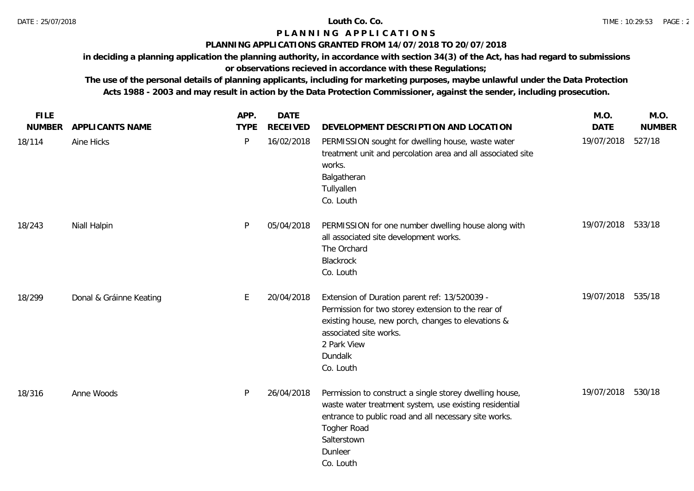## **PLANNING APPLICATIONS GRANTED FROM 14/07/2018 TO 20/07/2018**

**in deciding a planning application the planning authority, in accordance with section 34(3) of the Act, has had regard to submissions** 

# **or observations recieved in accordance with these Regulations;**

| <b>FILE</b><br><b>NUMBER</b> | <b>APPLICANTS NAME</b>  | APP.<br><b>TYPE</b> | <b>DATE</b><br><b>RECEIVED</b> | DEVELOPMENT DESCRIPTION AND LOCATION                                                                                                                                                                                             | M.O.<br><b>DATE</b> | M.O.<br><b>NUMBER</b> |
|------------------------------|-------------------------|---------------------|--------------------------------|----------------------------------------------------------------------------------------------------------------------------------------------------------------------------------------------------------------------------------|---------------------|-----------------------|
| 18/114                       | Aine Hicks              | $\mathsf{P}$        | 16/02/2018                     | PERMISSION sought for dwelling house, waste water<br>treatment unit and percolation area and all associated site<br>works.<br>Balgatheran<br>Tullyallen<br>Co. Louth                                                             | 19/07/2018          | 527/18                |
| 18/243                       | Niall Halpin            | P                   | 05/04/2018                     | PERMISSION for one number dwelling house along with<br>all associated site development works.<br>The Orchard<br>Blackrock<br>Co. Louth                                                                                           | 19/07/2018 533/18   |                       |
| 18/299                       | Donal & Gráinne Keating | E                   | 20/04/2018                     | Extension of Duration parent ref: 13/520039 -<br>Permission for two storey extension to the rear of<br>existing house, new porch, changes to elevations &<br>associated site works.<br>2 Park View<br>Dundalk<br>Co. Louth       | 19/07/2018 535/18   |                       |
| 18/316                       | Anne Woods              | P                   | 26/04/2018                     | Permission to construct a single storey dwelling house,<br>waste water treatment system, use existing residential<br>entrance to public road and all necessary site works.<br>Togher Road<br>Salterstown<br>Dunleer<br>Co. Louth | 19/07/2018          | 530/18                |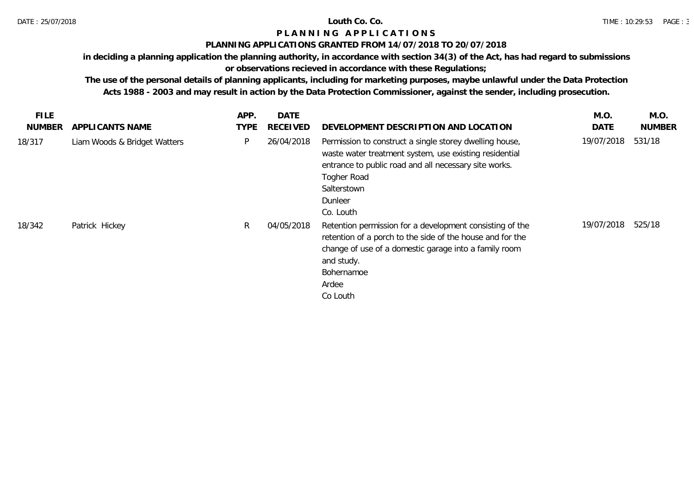# **PLANNING APPLICATIONS GRANTED FROM 14/07/2018 TO 20/07/2018**

**in deciding a planning application the planning authority, in accordance with section 34(3) of the Act, has had regard to submissions** 

# **or observations recieved in accordance with these Regulations;**

| <b>FILE</b><br><b>NUMBER</b> | APPLICANTS NAME              | APP.<br><b>TYPE</b> | <b>DATE</b><br><b>RECEIVED</b> | DEVELOPMENT DESCRIPTION AND LOCATION                                                                                                                                                                                             | M.O.<br>DATE | M.O.<br><b>NUMBER</b> |
|------------------------------|------------------------------|---------------------|--------------------------------|----------------------------------------------------------------------------------------------------------------------------------------------------------------------------------------------------------------------------------|--------------|-----------------------|
| 18/317                       | Liam Woods & Bridget Watters | P                   | 26/04/2018                     | Permission to construct a single storey dwelling house,<br>waste water treatment system, use existing residential<br>entrance to public road and all necessary site works.<br>Togher Road<br>Salterstown<br>Dunleer<br>Co. Louth | 19/07/2018   | 531/18                |
| 18/342                       | Patrick Hickey               | R.                  | 04/05/2018                     | Retention permission for a development consisting of the<br>retention of a porch to the side of the house and for the<br>change of use of a domestic garage into a family room<br>and study.<br>Bohernamoe<br>Ardee<br>Co Louth  | 19/07/2018   | 525/18                |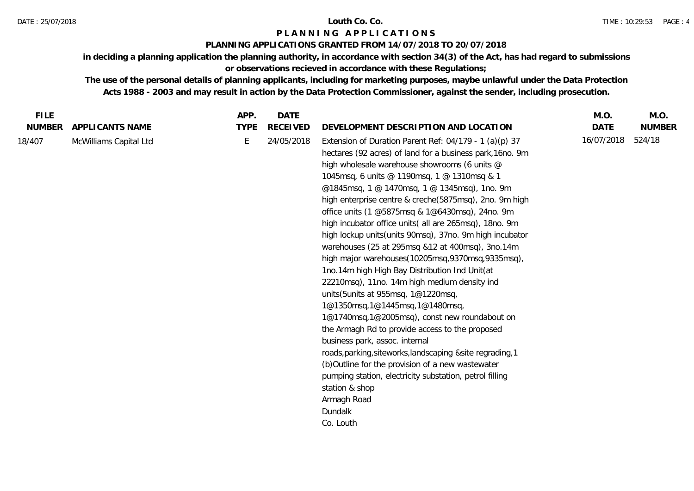# **PLANNING APPLICATIONS GRANTED FROM 14/07/2018 TO 20/07/2018**

**in deciding a planning application the planning authority, in accordance with section 34(3) of the Act, has had regard to submissions** 

**or observations recieved in accordance with these Regulations;**

| <b>FILE</b>   |                        | APP.        | <b>DATE</b>     |                                                                                                                                                                                                                                                                                                                                                                                                                                                                                                                                                                                                                                                                                                                                                                                                                                                                                                                                                                                                                                                                                                                                                                             | M.O.        | M.O.          |
|---------------|------------------------|-------------|-----------------|-----------------------------------------------------------------------------------------------------------------------------------------------------------------------------------------------------------------------------------------------------------------------------------------------------------------------------------------------------------------------------------------------------------------------------------------------------------------------------------------------------------------------------------------------------------------------------------------------------------------------------------------------------------------------------------------------------------------------------------------------------------------------------------------------------------------------------------------------------------------------------------------------------------------------------------------------------------------------------------------------------------------------------------------------------------------------------------------------------------------------------------------------------------------------------|-------------|---------------|
| <b>NUMBER</b> | APPLICANTS NAME        | <b>TYPE</b> | <b>RECEIVED</b> | DEVELOPMENT DESCRIPTION AND LOCATION                                                                                                                                                                                                                                                                                                                                                                                                                                                                                                                                                                                                                                                                                                                                                                                                                                                                                                                                                                                                                                                                                                                                        | <b>DATE</b> | <b>NUMBER</b> |
| 18/407        | McWilliams Capital Ltd | E           | 24/05/2018      | Extension of Duration Parent Ref: $04/179 - 1$ (a)(p) 37<br>hectares (92 acres) of land for a business park, 16no. 9m<br>high wholesale warehouse showrooms (6 units @<br>1045msq, 6 units @ 1190msq, 1 @ 1310msq & 1<br>@1845msq, 1 @ 1470msq, 1 @ 1345msq), 1no. 9m<br>high enterprise centre & creche(5875msq), 2no. 9m high<br>office units (1 @5875msq & 1@6430msq), 24no. 9m<br>high incubator office units (all are 265msq), 18no. 9m<br>high lockup units (units 90msq), 37no. 9m high incubator<br>warehouses (25 at 295msq &12 at 400msq), 3no.14m<br>high major warehouses(10205msq,9370msq,9335msq),<br>1no.14m high High Bay Distribution Ind Unit(at<br>22210msq), 11no. 14m high medium density ind<br>units (5 units at 955 msq, 1@1220 msq,<br>1@1350msq,1@1445msq,1@1480msq,<br>1@1740msq,1@2005msq), const new roundabout on<br>the Armagh Rd to provide access to the proposed<br>business park, assoc. internal<br>roads, parking, siteworks, landscaping & site regrading, 1<br>(b) Outline for the provision of a new wastewater<br>pumping station, electricity substation, petrol filling<br>station & shop<br>Armagh Road<br>Dundalk<br>Co. Louth | 16/07/2018  | 524/18        |
|               |                        |             |                 |                                                                                                                                                                                                                                                                                                                                                                                                                                                                                                                                                                                                                                                                                                                                                                                                                                                                                                                                                                                                                                                                                                                                                                             |             |               |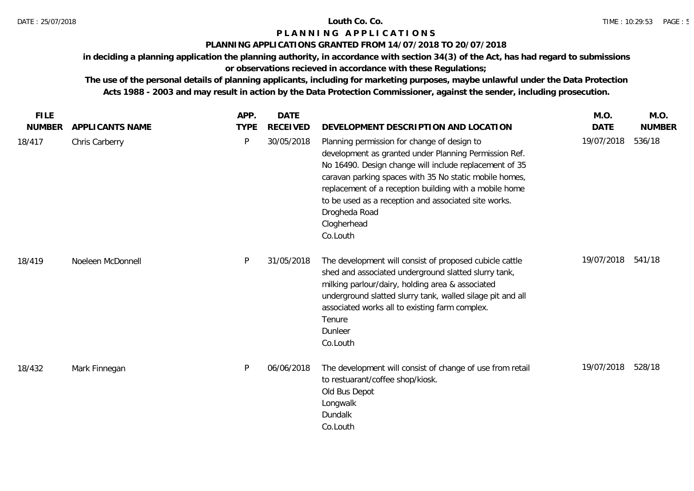# **PLANNING APPLICATIONS GRANTED FROM 14/07/2018 TO 20/07/2018**

**in deciding a planning application the planning authority, in accordance with section 34(3) of the Act, has had regard to submissions** 

# **or observations recieved in accordance with these Regulations;**

| <b>FILE</b>   |                   | APP.        | <b>DATE</b>     |                                                                                                                                                                                                                                                                                                                                                                                        | M.O.        | M.O.          |
|---------------|-------------------|-------------|-----------------|----------------------------------------------------------------------------------------------------------------------------------------------------------------------------------------------------------------------------------------------------------------------------------------------------------------------------------------------------------------------------------------|-------------|---------------|
| <b>NUMBER</b> | APPLICANTS NAME   | <b>TYPE</b> | <b>RECEIVED</b> | DEVELOPMENT DESCRIPTION AND LOCATION                                                                                                                                                                                                                                                                                                                                                   | <b>DATE</b> | <b>NUMBER</b> |
| 18/417        | Chris Carberry    | P           | 30/05/2018      | Planning permission for change of design to<br>development as granted under Planning Permission Ref.<br>No 16490. Design change will include replacement of 35<br>caravan parking spaces with 35 No static mobile homes,<br>replacement of a reception building with a mobile home<br>to be used as a reception and associated site works.<br>Drogheda Road<br>Clogherhead<br>Co.Louth | 19/07/2018  | 536/18        |
| 18/419        | Noeleen McDonnell | P           | 31/05/2018      | The development will consist of proposed cubicle cattle<br>shed and associated underground slatted slurry tank,<br>milking parlour/dairy, holding area & associated<br>underground slatted slurry tank, walled silage pit and all<br>associated works all to existing farm complex.<br>Tenure<br>Dunleer<br>Co.Louth                                                                   | 19/07/2018  | 541/18        |
| 18/432        | Mark Finnegan     | P           | 06/06/2018      | The development will consist of change of use from retail<br>to restuarant/coffee shop/kiosk.<br>Old Bus Depot<br>Longwalk<br>Dundalk<br>Co.Louth                                                                                                                                                                                                                                      | 19/07/2018  | 528/18        |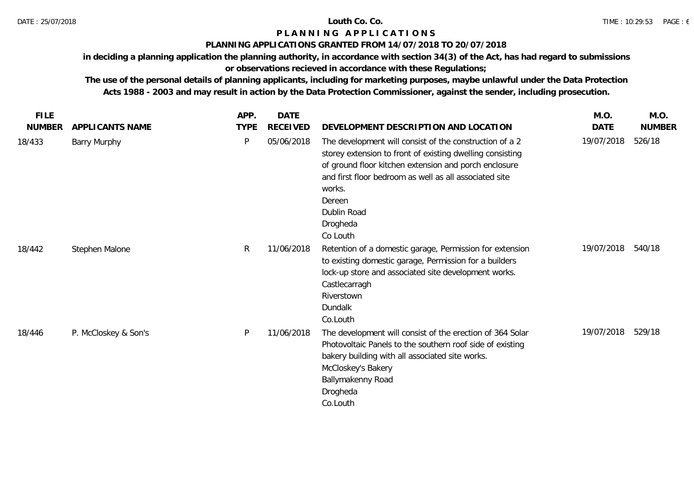## **PLANNING APPLICATIONS GRANTED FROM 14/07/2018 TO 20/07/2018**

**in deciding a planning application the planning authority, in accordance with section 34(3) of the Act, has had regard to submissions** 

# **or observations recieved in accordance with these Regulations;**

| <b>FILE</b>   |                      | APP.         | <b>DATE</b>     |                                                                                                                                                                                                                                                                                                    | M.O.        | M.O.          |
|---------------|----------------------|--------------|-----------------|----------------------------------------------------------------------------------------------------------------------------------------------------------------------------------------------------------------------------------------------------------------------------------------------------|-------------|---------------|
| <b>NUMBER</b> | APPLICANTS NAME      | <b>TYPE</b>  | <b>RECEIVED</b> | DEVELOPMENT DESCRIPTION AND LOCATION                                                                                                                                                                                                                                                               | <b>DATE</b> | <b>NUMBER</b> |
| 18/433        | <b>Barry Murphy</b>  | P            | 05/06/2018      | The development will consist of the construction of a 2<br>storey extension to front of existing dwelling consisting<br>of ground floor kitchen extension and porch enclosure<br>and first floor bedroom as well as all associated site<br>works.<br>Dereen<br>Dublin Road<br>Drogheda<br>Co Louth | 19/07/2018  | 526/18        |
| 18/442        | Stephen Malone       | $\mathsf{R}$ | 11/06/2018      | Retention of a domestic garage, Permission for extension<br>to existing domestic garage, Permission for a builders<br>lock-up store and associated site development works.<br>Castlecarragh<br>Riverstown<br>Dundalk<br>Co.Louth                                                                   | 19/07/2018  | 540/18        |
| 18/446        | P. McCloskey & Son's | P            | 11/06/2018      | The development will consist of the erection of 364 Solar<br>Photovoltaic Panels to the southern roof side of existing<br>bakery building with all associated site works.<br>McCloskey's Bakery<br>Ballymakenny Road<br>Drogheda<br>Co.Louth                                                       | 19/07/2018  | 529/18        |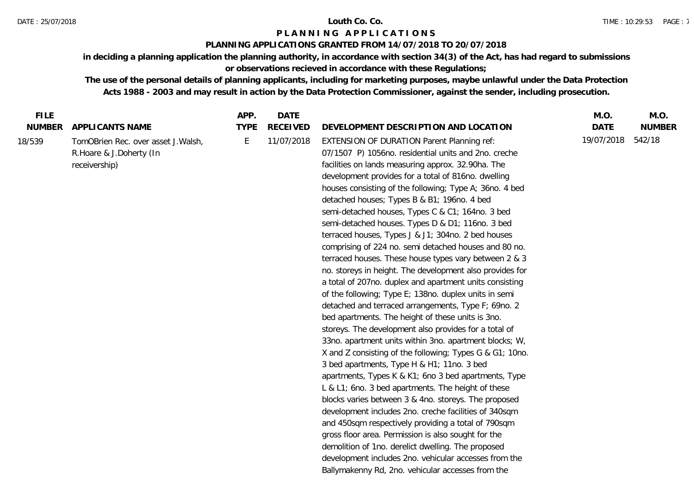### **PLANNING APPLICATIONS GRANTED FROM 14/07/2018 TO 20/07/2018**

**in deciding a planning application the planning authority, in accordance with section 34(3) of the Act, has had regard to submissions or observations recieved in accordance with these Regulations;**

| <b>FILE</b>             |                                                                                                            | APP.             | <b>DATE</b>                   |                                                                                                                                                                                                                                                                                                                                                                                                                                                                                                                                                                                                                                                                                                                                                                                                                                                                                                                                                                                                                                      | M.O.                      | M.O.                    |
|-------------------------|------------------------------------------------------------------------------------------------------------|------------------|-------------------------------|--------------------------------------------------------------------------------------------------------------------------------------------------------------------------------------------------------------------------------------------------------------------------------------------------------------------------------------------------------------------------------------------------------------------------------------------------------------------------------------------------------------------------------------------------------------------------------------------------------------------------------------------------------------------------------------------------------------------------------------------------------------------------------------------------------------------------------------------------------------------------------------------------------------------------------------------------------------------------------------------------------------------------------------|---------------------------|-------------------------|
| <b>NUMBER</b><br>18/539 | <b>APPLICANTS NAME</b><br>TomOBrien Rec. over asset J.Walsh,<br>R. Hoare & J. Doherty (In<br>receivership) | <b>TYPE</b><br>E | <b>RECEIVED</b><br>11/07/2018 | DEVELOPMENT DESCRIPTION AND LOCATION<br><b>EXTENSION OF DURATION Parent Planning ref:</b><br>07/1507 P) 1056no. residential units and 2no. creche<br>facilities on lands measuring approx. 32.90ha. The<br>development provides for a total of 816no. dwelling<br>houses consisting of the following; Type A; 36no. 4 bed<br>detached houses; Types B & B1; 196no. 4 bed                                                                                                                                                                                                                                                                                                                                                                                                                                                                                                                                                                                                                                                             | <b>DATE</b><br>19/07/2018 | <b>NUMBER</b><br>542/18 |
|                         |                                                                                                            |                  |                               | semi-detached houses, Types C & C1; 164no. 3 bed<br>semi-detached houses. Types D & D1; 116no. 3 bed<br>terraced houses, Types J & J1; 304no. 2 bed houses<br>comprising of 224 no. semi detached houses and 80 no.<br>terraced houses. These house types vary between 2 & 3<br>no. storeys in height. The development also provides for<br>a total of 207no. duplex and apartment units consisting<br>of the following; Type E; 138no. duplex units in semi<br>detached and terraced arrangements, Type F; 69no. 2<br>bed apartments. The height of these units is 3no.<br>storeys. The development also provides for a total of<br>33no. apartment units within 3no. apartment blocks; W,<br>X and Z consisting of the following; Types G & G1; 10no.<br>3 bed apartments, Type H & H1; 11no. 3 bed<br>apartments, Types K & K1; 6no 3 bed apartments, Type<br>L & L1; 6no. 3 bed apartments. The height of these<br>blocks varies between 3 & 4no. storeys. The proposed<br>development includes 2no. creche facilities of 340sqm |                           |                         |
|                         |                                                                                                            |                  |                               | and 450sqm respectively providing a total of 790sqm<br>gross floor area. Permission is also sought for the<br>demolition of 1no. derelict dwelling. The proposed<br>development includes 2no. vehicular accesses from the<br>Ballymakenny Rd, 2no. vehicular accesses from the                                                                                                                                                                                                                                                                                                                                                                                                                                                                                                                                                                                                                                                                                                                                                       |                           |                         |
|                         |                                                                                                            |                  |                               |                                                                                                                                                                                                                                                                                                                                                                                                                                                                                                                                                                                                                                                                                                                                                                                                                                                                                                                                                                                                                                      |                           |                         |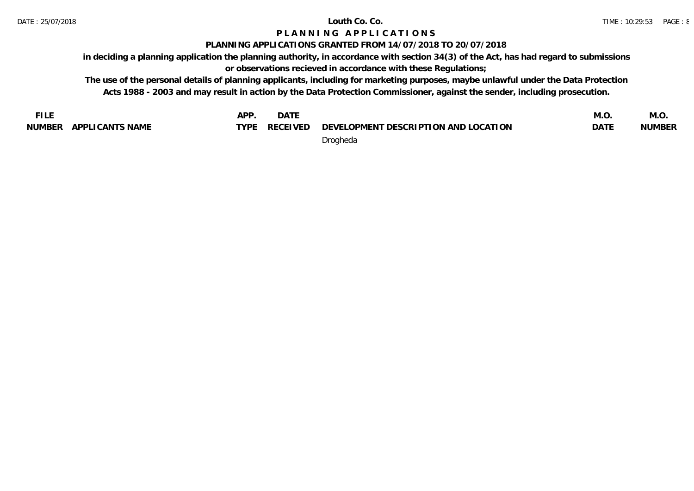# **PLANNING APPLICATIONS GRANTED FROM 14/07/2018 TO 20/07/2018**

**in deciding a planning application the planning authority, in accordance with section 34(3) of the Act, has had regard to submissions** 

**or observations recieved in accordance with these Regulations;**

**The use of the personal details of planning applicants, including for marketing purposes, maybe unlawful under the Data Protection Acts 1988 - 2003 and may result in action by the Data Protection Commissioner, against the sender, including prosecution.**

**FILE NUMBER APPLICANTS NAME APP. DATE TYPE DEVELOPMENT DESCRIPTION AND LOCATION CONTRACTLY DESCRIPTION AND LOCATION M.O. DATE NUMBER M.O.** Drogheda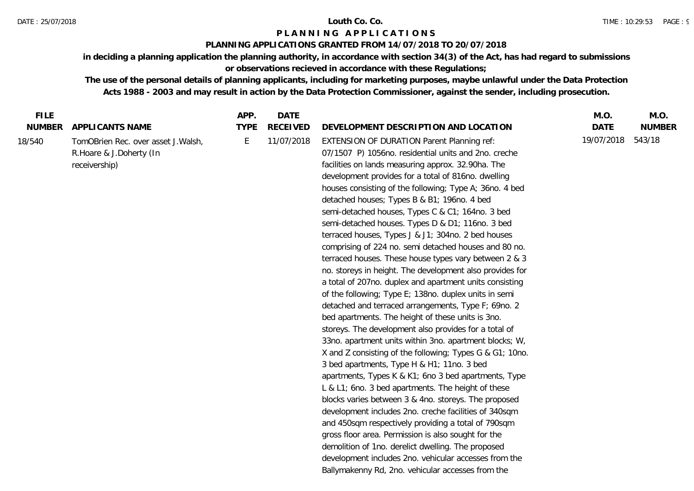### **PLANNING APPLICATIONS GRANTED FROM 14/07/2018 TO 20/07/2018**

**in deciding a planning application the planning authority, in accordance with section 34(3) of the Act, has had regard to submissions or observations recieved in accordance with these Regulations;**

| 19/07/2018<br>543/18<br>E<br>11/07/2018<br><b>EXTENSION OF DURATION Parent Planning ref:</b><br>TomOBrien Rec. over asset J. Walsh,<br>07/1507 P) 1056 no. residential units and 2no. creche<br>R. Hoare & J. Doherty (In<br>facilities on lands measuring approx. 32.90ha. The<br>receivership)<br>development provides for a total of 816no. dwelling<br>houses consisting of the following; Type A; 36no. 4 bed<br>detached houses; Types B & B1; 196no. 4 bed<br>semi-detached houses, Types C & C1; 164no. 3 bed<br>semi-detached houses. Types D & D1; 116no. 3 bed<br>terraced houses, Types J & J1; 304no. 2 bed houses<br>comprising of 224 no. semi detached houses and 80 no.<br>terraced houses. These house types vary between 2 & 3<br>no. storeys in height. The development also provides for<br>a total of 207no. duplex and apartment units consisting<br>of the following; Type E; 138no. duplex units in semi<br>detached and terraced arrangements, Type F; 69no. 2<br>bed apartments. The height of these units is 3no.<br>storeys. The development also provides for a total of<br>33no. apartment units within 3no. apartment blocks; W,<br>X and Z consisting of the following; Types G & G1; 10no.<br>3 bed apartments, Type H & H1; 11no. 3 bed<br>apartments, Types K & K1; 6no 3 bed apartments, Type<br>L & L1; 6no. 3 bed apartments. The height of these<br>blocks varies between 3 & 4no. storeys. The proposed<br>development includes 2no. creche facilities of 340sqm<br>and 450sqm respectively providing a total of 790sqm<br>gross floor area. Permission is also sought for the<br>demolition of 1no. derelict dwelling. The proposed<br>development includes 2no. vehicular accesses from the<br>Ballymakenny Rd, 2no. vehicular accesses from the | <b>FILE</b>             |                  | APP.        | <b>DATE</b>     |                                      | M.O.        | M.O.          |
|---------------------------------------------------------------------------------------------------------------------------------------------------------------------------------------------------------------------------------------------------------------------------------------------------------------------------------------------------------------------------------------------------------------------------------------------------------------------------------------------------------------------------------------------------------------------------------------------------------------------------------------------------------------------------------------------------------------------------------------------------------------------------------------------------------------------------------------------------------------------------------------------------------------------------------------------------------------------------------------------------------------------------------------------------------------------------------------------------------------------------------------------------------------------------------------------------------------------------------------------------------------------------------------------------------------------------------------------------------------------------------------------------------------------------------------------------------------------------------------------------------------------------------------------------------------------------------------------------------------------------------------------------------------------------------------------------------------------------------------------------------------------------------------------|-------------------------|------------------|-------------|-----------------|--------------------------------------|-------------|---------------|
|                                                                                                                                                                                                                                                                                                                                                                                                                                                                                                                                                                                                                                                                                                                                                                                                                                                                                                                                                                                                                                                                                                                                                                                                                                                                                                                                                                                                                                                                                                                                                                                                                                                                                                                                                                                             | <b>NUMBER</b><br>18/540 | APPLI CANTS NAME | <b>TYPE</b> | <b>RECEIVED</b> | DEVELOPMENT DESCRIPTION AND LOCATION | <b>DATE</b> | <b>NUMBER</b> |
|                                                                                                                                                                                                                                                                                                                                                                                                                                                                                                                                                                                                                                                                                                                                                                                                                                                                                                                                                                                                                                                                                                                                                                                                                                                                                                                                                                                                                                                                                                                                                                                                                                                                                                                                                                                             |                         |                  |             |                 |                                      |             |               |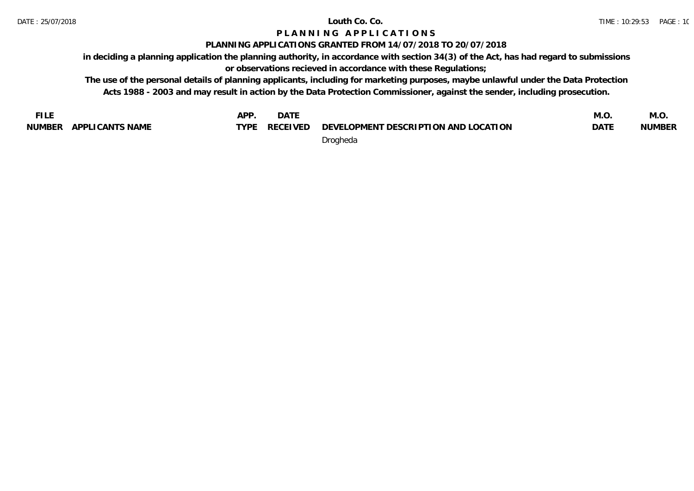# **PLANNING APPLICATIONS GRANTED FROM 14/07/2018 TO 20/07/2018**

**in deciding a planning application the planning authority, in accordance with section 34(3) of the Act, has had regard to submissions** 

**or observations recieved in accordance with these Regulations;**

**The use of the personal details of planning applicants, including for marketing purposes, maybe unlawful under the Data Protection Acts 1988 - 2003 and may result in action by the Data Protection Commissioner, against the sender, including prosecution.**

**FILE NUMBER APPLICANTS NAME APP. DATE TYPE DEVELOPMENT DESCRIPTION AND LOCATION CONTRACTLY DESCRIPTION AND LOCATION M.O. DATE NUMBER M.O.** Drogheda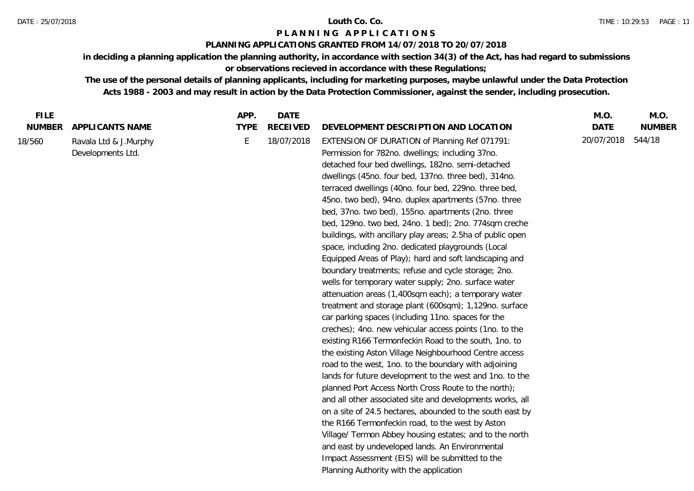### **PLANNING APPLICATIONS GRANTED FROM 14/07/2018 TO 20/07/2018**

**in deciding a planning application the planning authority, in accordance with section 34(3) of the Act, has had regard to submissions** 

# **or observations recieved in accordance with these Regulations;**

| <b>FILE</b>   |                                            | APP.        | <b>DATE</b>     |                                                                                                                                                                                                                                                                                                                                                                                                                                                                                                                                                                                                                                                                                                                                                                                                                                                                                                                                                                                                                                                                                                                                                                                                                                                                                                                                                                                                                                                                                                                                                                                                                                | M.O.        | M.O.          |
|---------------|--------------------------------------------|-------------|-----------------|--------------------------------------------------------------------------------------------------------------------------------------------------------------------------------------------------------------------------------------------------------------------------------------------------------------------------------------------------------------------------------------------------------------------------------------------------------------------------------------------------------------------------------------------------------------------------------------------------------------------------------------------------------------------------------------------------------------------------------------------------------------------------------------------------------------------------------------------------------------------------------------------------------------------------------------------------------------------------------------------------------------------------------------------------------------------------------------------------------------------------------------------------------------------------------------------------------------------------------------------------------------------------------------------------------------------------------------------------------------------------------------------------------------------------------------------------------------------------------------------------------------------------------------------------------------------------------------------------------------------------------|-------------|---------------|
| <b>NUMBER</b> | APPLICANTS NAME                            | <b>TYPE</b> | <b>RECEIVED</b> | DEVELOPMENT DESCRIPTION AND LOCATION                                                                                                                                                                                                                                                                                                                                                                                                                                                                                                                                                                                                                                                                                                                                                                                                                                                                                                                                                                                                                                                                                                                                                                                                                                                                                                                                                                                                                                                                                                                                                                                           | <b>DATE</b> | <b>NUMBER</b> |
| 18/560        | Ravala Ltd & J.Murphy<br>Developments Ltd. | E           | 18/07/2018      | EXTENSION OF DURATION of Planning Ref 071791:<br>Permission for 782no. dwellings; including 37no.<br>detached four bed dwellings, 182no. semi-detached<br>dwellings (45no. four bed, 137no. three bed), 314no.<br>terraced dwellings (40no. four bed, 229no. three bed,<br>45no. two bed), 94no. duplex apartments (57no. three<br>bed, 37no. two bed), 155no. apartments (2no. three<br>bed, 129no. two bed, 24no. 1 bed); 2no. 774sqm creche<br>buildings, with ancillary play areas; 2.5ha of public open<br>space, including 2no. dedicated playgrounds (Local<br>Equipped Areas of Play); hard and soft landscaping and<br>boundary treatments; refuse and cycle storage; 2no.<br>wells for temporary water supply; 2no. surface water<br>attenuation areas (1,400sqm each); a temporary water<br>treatment and storage plant (600sqm); 1,129no. surface<br>car parking spaces (including 11no. spaces for the<br>creches); 4no. new vehicular access points (1no. to the<br>existing R166 Termonfeckin Road to the south, 1no. to<br>the existing Aston Village Neighbourhood Centre access<br>road to the west, 1no. to the boundary with adjoining<br>lands for future development to the west and 1no. to the<br>planned Port Access North Cross Route to the north);<br>and all other associated site and developments works, all<br>on a site of 24.5 hectares, abounded to the south east by<br>the R166 Termonfeckin road, to the west by Aston<br>Village/ Termon Abbey housing estates; and to the north<br>and east by undeveloped lands. An Environmental<br>Impact Assessment (EIS) will be submitted to the | 20/07/2018  | 544/18        |